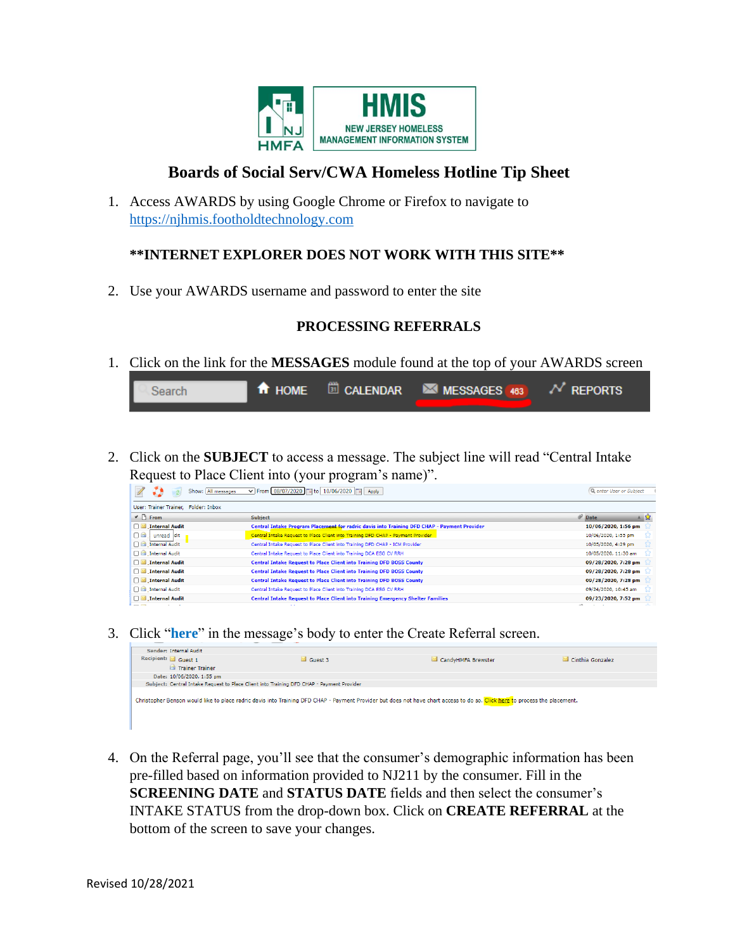

# **Boards of Social Serv/CWA Homeless Hotline Tip Sheet**

1. Access AWARDS by using Google Chrome or Firefox to navigate to [https://njhmis.footholdtechnology.com](https://njhmis.footholdtechnology.com/)

#### **\*\*INTERNET EXPLORER DOES NOT WORK WITH THIS SITE\*\***

2. Use your AWARDS username and password to enter the site

#### **PROCESSING REFERRALS**

1. Click on the link for the **MESSAGES** module found at the top of your AWARDS screen

| Search |  | <b>T</b> HOME <b>D</b> CALENDAR <b>MESSAGES</b> $463$ $N$ REPORTS |  |
|--------|--|-------------------------------------------------------------------|--|
|        |  |                                                                   |  |

2. Click on the **SUBJECT** to access a message. The subject line will read "Central Intake Request to Place Client into (your program's name)".

| Show: All messages                     | V From 08/07/2020   c to 10/06/2020   c Apply                                               | Q enter User or Subject                        |
|----------------------------------------|---------------------------------------------------------------------------------------------|------------------------------------------------|
| User: Trainer Trainer, Folder: Inbox   |                                                                                             |                                                |
| $\vee$ $\uparrow$ From                 | Subject                                                                                     | $\mathscr{D}$ Date<br>$\triangle$ $\mathbb{Z}$ |
| Internal Audit                         | Central Intake Program Placement for radric davis into Training DFD CHAP - Payment Provider | 10/06/2020, 1:56 pm                            |
| <b>na</b> :<br><sup>1</sup> unread dit | Central Intake Request to Place Client into Training DFD CHAP - Payment Provider            | 10/06/2020, 1:55 pm                            |
| <b>Disk</b> Internal Audit             | Central Intake Request to Place Client into Training DFD CHAP - ICM Provider                | 10/05/2020, 4:29 pm                            |
| <b>Dia</b> Internal Audit              | Central Intake Request to Place Client into Training DCA ESG CV RRH                         | 10/05/2020, 11:30 am                           |
| Internal Audit                         | Central Intake Request to Place Client into Training DFD BOSS County                        | 09/28/2020, 7:28 pm                            |
| Internal Audit                         | Central Intake Request to Place Client into Training DFD BOSS County                        | 09/28/2020, 7:28 pm                            |
| Internal Audit                         | Central Intake Request to Place Client into Training DFD BOSS County                        | 09/28/2020, 7:28 pm                            |
| <b>Dia</b> Internal Audit              | Central Intake Request to Place Client into Training DCA ESG CV RRH                         | 09/24/2020, 10:45 am                           |
| Internal Audit                         | <b>Central Intake Request to Place Client into Training Emergency Shelter Families</b>      | 09/23/2020, 7:52 pm                            |
| $\sim$ $\sim$<br>. .                   | $\sim$                                                                                      | All a contract of                              |

3. Click "**here**" in the message's body to enter the Create Referral screen.

| Sender: Internal Audit                                                                    |                      |                                                                                                                                                                             |                  |
|-------------------------------------------------------------------------------------------|----------------------|-----------------------------------------------------------------------------------------------------------------------------------------------------------------------------|------------------|
| Recipient: Guest 1                                                                        | $\triangleq$ Guest 3 | CandyHMFA Brewster                                                                                                                                                          | Cinthia Gonzalez |
| <b>Ca</b> Trainer Trainer                                                                 |                      |                                                                                                                                                                             |                  |
| Date: 10/06/2020, 1:55 pm                                                                 |                      |                                                                                                                                                                             |                  |
| Subject: Central Intake Request to Place Client into Training DFD CHAP - Payment Provider |                      |                                                                                                                                                                             |                  |
|                                                                                           |                      | Christopher Benson would like to place radric davis into Training DFD CHAP - Payment Provider but does not have chart access to do so. Click here to process the placement. |                  |
|                                                                                           |                      |                                                                                                                                                                             |                  |

4. On the Referral page, you'll see that the consumer's demographic information has been pre-filled based on information provided to NJ211 by the consumer. Fill in the **SCREENING DATE** and **STATUS DATE** fields and then select the consumer's INTAKE STATUS from the drop-down box. Click on **CREATE REFERRAL** at the bottom of the screen to save your changes.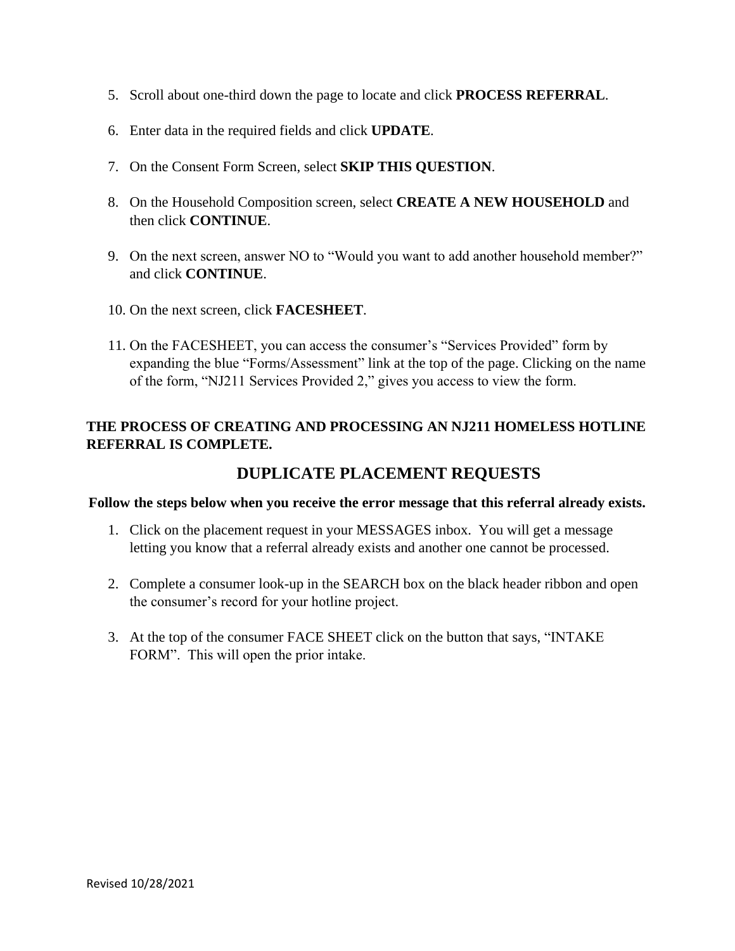- 5. Scroll about one-third down the page to locate and click **PROCESS REFERRAL**.
- 6. Enter data in the required fields and click **UPDATE**.
- 7. On the Consent Form Screen, select **SKIP THIS QUESTION**.
- 8. On the Household Composition screen, select **CREATE A NEW HOUSEHOLD** and then click **CONTINUE**.
- 9. On the next screen, answer NO to "Would you want to add another household member?" and click **CONTINUE**.
- 10. On the next screen, click **FACESHEET**.
- 11. On the FACESHEET, you can access the consumer's "Services Provided" form by expanding the blue "Forms/Assessment" link at the top of the page. Clicking on the name of the form, "NJ211 Services Provided 2," gives you access to view the form.

### **THE PROCESS OF CREATING AND PROCESSING AN NJ211 HOMELESS HOTLINE REFERRAL IS COMPLETE.**

## **DUPLICATE PLACEMENT REQUESTS**

#### **Follow the steps below when you receive the error message that this referral already exists.**

- 1. Click on the placement request in your MESSAGES inbox. You will get a message letting you know that a referral already exists and another one cannot be processed.
- 2. Complete a consumer look-up in the SEARCH box on the black header ribbon and open the consumer's record for your hotline project.
- 3. At the top of the consumer FACE SHEET click on the button that says, "INTAKE FORM". This will open the prior intake.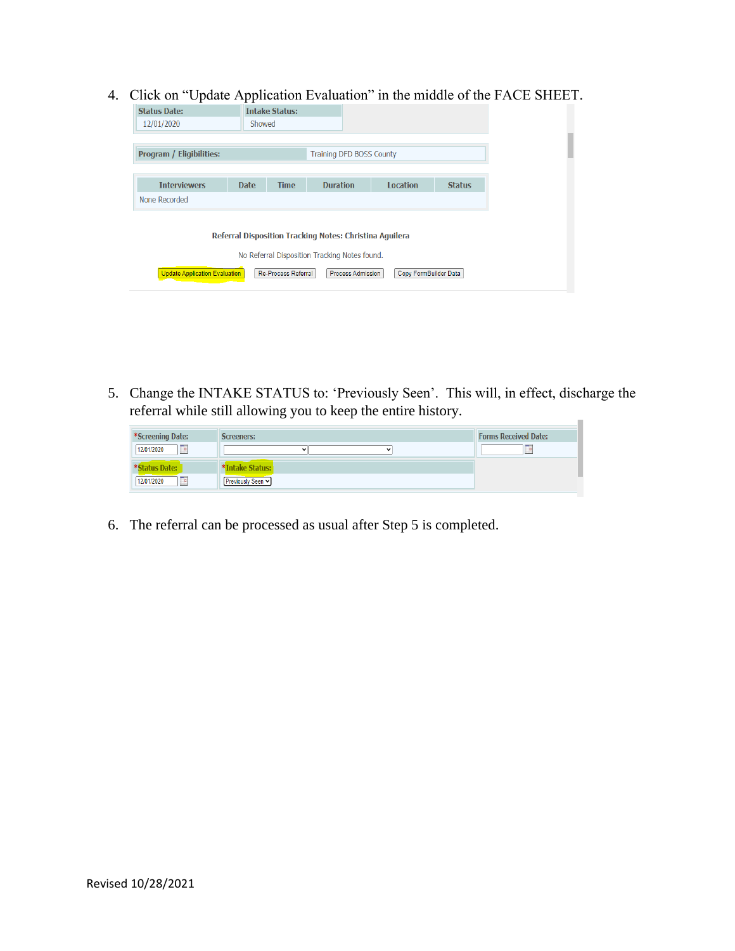4. Click on "Update Application Evaluation" in the middle of the FACE SHEET.

| <b>Status Date:</b>             |             | <b>Intake Status:</b> |                                                                                                          |                 |               |
|---------------------------------|-------------|-----------------------|----------------------------------------------------------------------------------------------------------|-----------------|---------------|
| 12/01/2020                      | Showed      |                       |                                                                                                          |                 |               |
|                                 |             |                       |                                                                                                          |                 |               |
| <b>Program / Eligibilities:</b> |             |                       | Training DFD BOSS County                                                                                 |                 |               |
|                                 |             |                       |                                                                                                          |                 |               |
| <b>Interviewers</b>             | <b>Date</b> | <b>Time</b>           | <b>Duration</b>                                                                                          | <b>Location</b> | <b>Status</b> |
| None Recorded                   |             |                       |                                                                                                          |                 |               |
|                                 |             |                       | Referral Disposition Tracking Notes: Christina Aguilera<br>No Referral Disposition Tracking Notes found. |                 |               |

5. Change the INTAKE STATUS to: 'Previously Seen'. This will, in effect, discharge the referral while still allowing you to keep the entire history.  $\mathbb{R}^2$ 

| *Screening Date:         | <b>Screeners:</b>          | <b>Forms Received Date:</b>                  |
|--------------------------|----------------------------|----------------------------------------------|
| $\Box$<br>12/01/2020     | $\check{ }$<br>$\check{ }$ | <b>High</b><br><b><i><u>Property</u></i></b> |
| *Status Date:            | Intake Status:             |                                              |
| استر<br>12/01/2020<br>u. | Previously Seen v          |                                              |

6. The referral can be processed as usual after Step 5 is completed.